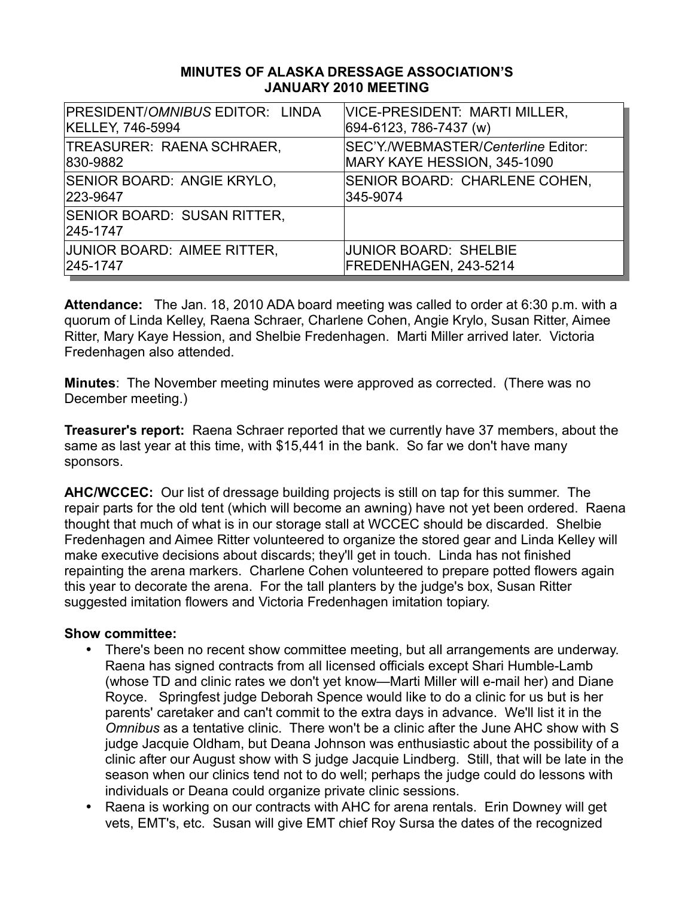#### **MINUTES OF ALASKA DRESSAGE ASSOCIATION'S JANUARY 2010 MEETING**

| <b>PRESIDENT/OMNIBUS EDITOR: LINDA</b>         | <b>VICE-PRESIDENT: MARTI MILLER,</b> |
|------------------------------------------------|--------------------------------------|
| <b>KELLEY, 746-5994</b>                        | 694-6123, 786-7437 (w)               |
| TREASURER: RAENA SCHRAER,                      | SEC'Y./WEBMASTER/Centerline Editor:  |
| 830-9882                                       | MARY KAYE HESSION, 345-1090          |
| SENIOR BOARD: ANGIE KRYLO,                     | SENIOR BOARD: CHARLENE COHEN,        |
| 223-9647                                       | 345-9074                             |
| <b>SENIOR BOARD: SUSAN RITTER,</b><br>245-1747 |                                      |
| JUNIOR BOARD: AIMEE RITTER,                    | <b>JUNIOR BOARD: SHELBIE</b>         |
| 245-1747                                       | FREDENHAGEN, 243-5214                |

**Attendance:** The Jan. 18, 2010 ADA board meeting was called to order at 6:30 p.m. with a quorum of Linda Kelley, Raena Schraer, Charlene Cohen, Angie Krylo, Susan Ritter, Aimee Ritter, Mary Kaye Hession, and Shelbie Fredenhagen. Marti Miller arrived later. Victoria Fredenhagen also attended.

**Minutes**: The November meeting minutes were approved as corrected. (There was no December meeting.)

**Treasurer's report:** Raena Schraer reported that we currently have 37 members, about the same as last year at this time, with \$15,441 in the bank. So far we don't have many sponsors.

**AHC/WCCEC:** Our list of dressage building projects is still on tap for this summer. The repair parts for the old tent (which will become an awning) have not yet been ordered. Raena thought that much of what is in our storage stall at WCCEC should be discarded. Shelbie Fredenhagen and Aimee Ritter volunteered to organize the stored gear and Linda Kelley will make executive decisions about discards; they'll get in touch. Linda has not finished repainting the arena markers. Charlene Cohen volunteered to prepare potted flowers again this year to decorate the arena. For the tall planters by the judge's box, Susan Ritter suggested imitation flowers and Victoria Fredenhagen imitation topiary.

#### **Show committee:**

- There's been no recent show committee meeting, but all arrangements are underway. Raena has signed contracts from all licensed officials except Shari Humble-Lamb (whose TD and clinic rates we don't yet know—Marti Miller will e-mail her) and Diane Royce. Springfest judge Deborah Spence would like to do a clinic for us but is her parents' caretaker and can't commit to the extra days in advance. We'll list it in the *Omnibus* as a tentative clinic. There won't be a clinic after the June AHC show with S judge Jacquie Oldham, but Deana Johnson was enthusiastic about the possibility of a clinic after our August show with S judge Jacquie Lindberg. Still, that will be late in the season when our clinics tend not to do well; perhaps the judge could do lessons with individuals or Deana could organize private clinic sessions.
- Raena is working on our contracts with AHC for arena rentals. Erin Downey will get vets, EMT's, etc. Susan will give EMT chief Roy Sursa the dates of the recognized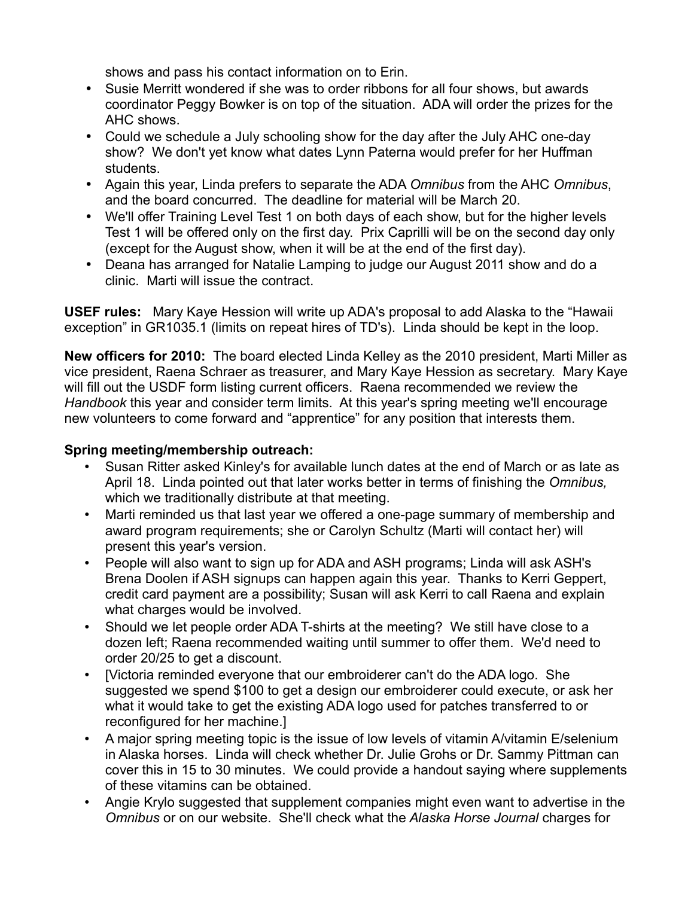shows and pass his contact information on to Erin.

- Susie Merritt wondered if she was to order ribbons for all four shows, but awards coordinator Peggy Bowker is on top of the situation. ADA will order the prizes for the AHC shows.
- Could we schedule a July schooling show for the day after the July AHC one-day show? We don't yet know what dates Lynn Paterna would prefer for her Huffman students.
- Again this year, Linda prefers to separate the ADA *Omnibus* from the AHC *Omnibus*, and the board concurred. The deadline for material will be March 20.
- We'll offer Training Level Test 1 on both days of each show, but for the higher levels Test 1 will be offered only on the first day. Prix Caprilli will be on the second day only (except for the August show, when it will be at the end of the first day).
- Deana has arranged for Natalie Lamping to judge our August 2011 show and do a clinic. Marti will issue the contract.

**USEF rules:** Mary Kaye Hession will write up ADA's proposal to add Alaska to the "Hawaii exception" in GR1035.1 (limits on repeat hires of TD's). Linda should be kept in the loop.

**New officers for 2010:** The board elected Linda Kelley as the 2010 president, Marti Miller as vice president, Raena Schraer as treasurer, and Mary Kaye Hession as secretary. Mary Kaye will fill out the USDF form listing current officers. Raena recommended we review the *Handbook* this year and consider term limits. At this year's spring meeting we'll encourage new volunteers to come forward and "apprentice" for any position that interests them.

## **Spring meeting/membership outreach:**

- Susan Ritter asked Kinley's for available lunch dates at the end of March or as late as April 18. Linda pointed out that later works better in terms of finishing the *Omnibus,* which we traditionally distribute at that meeting.
- Marti reminded us that last year we offered a one-page summary of membership and award program requirements; she or Carolyn Schultz (Marti will contact her) will present this year's version.
- People will also want to sign up for ADA and ASH programs; Linda will ask ASH's Brena Doolen if ASH signups can happen again this year. Thanks to Kerri Geppert, credit card payment are a possibility; Susan will ask Kerri to call Raena and explain what charges would be involved.
- Should we let people order ADA T-shirts at the meeting? We still have close to a dozen left; Raena recommended waiting until summer to offer them. We'd need to order 20/25 to get a discount.
- [Victoria reminded everyone that our embroiderer can't do the ADA logo. She suggested we spend \$100 to get a design our embroiderer could execute, or ask her what it would take to get the existing ADA logo used for patches transferred to or reconfigured for her machine.]
- A major spring meeting topic is the issue of low levels of vitamin A/vitamin E/selenium in Alaska horses. Linda will check whether Dr. Julie Grohs or Dr. Sammy Pittman can cover this in 15 to 30 minutes. We could provide a handout saying where supplements of these vitamins can be obtained.
- Angie Krylo suggested that supplement companies might even want to advertise in the *Omnibus* or on our website. She'll check what the *Alaska Horse Journal* charges for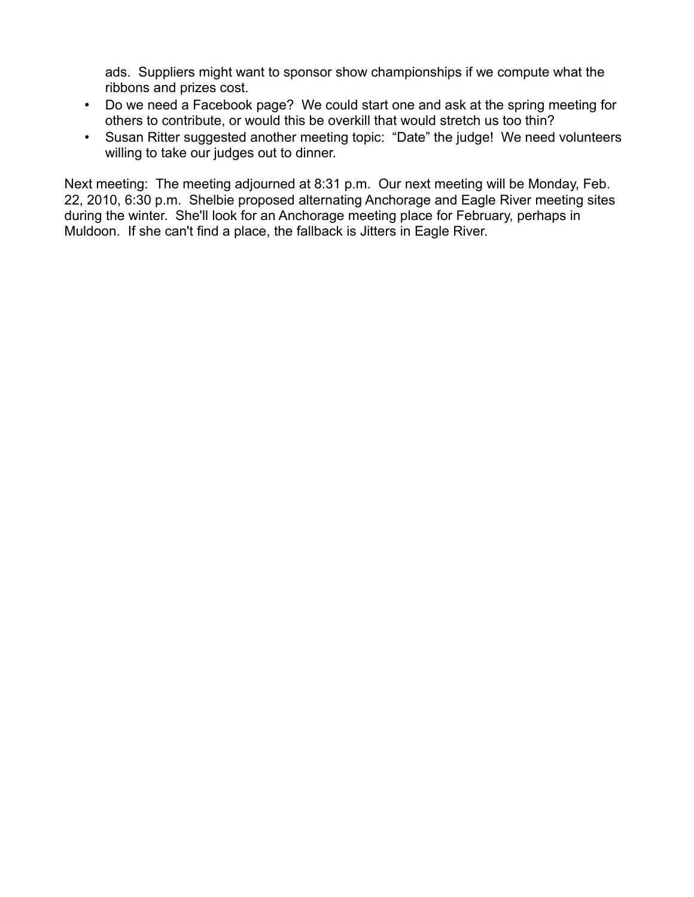ads. Suppliers might want to sponsor show championships if we compute what the ribbons and prizes cost.

- Do we need a Facebook page? We could start one and ask at the spring meeting for others to contribute, or would this be overkill that would stretch us too thin?
- Susan Ritter suggested another meeting topic: "Date" the judge! We need volunteers willing to take our judges out to dinner.

Next meeting: The meeting adjourned at 8:31 p.m. Our next meeting will be Monday, Feb. 22, 2010, 6:30 p.m. Shelbie proposed alternating Anchorage and Eagle River meeting sites during the winter. She'll look for an Anchorage meeting place for February, perhaps in Muldoon. If she can't find a place, the fallback is Jitters in Eagle River.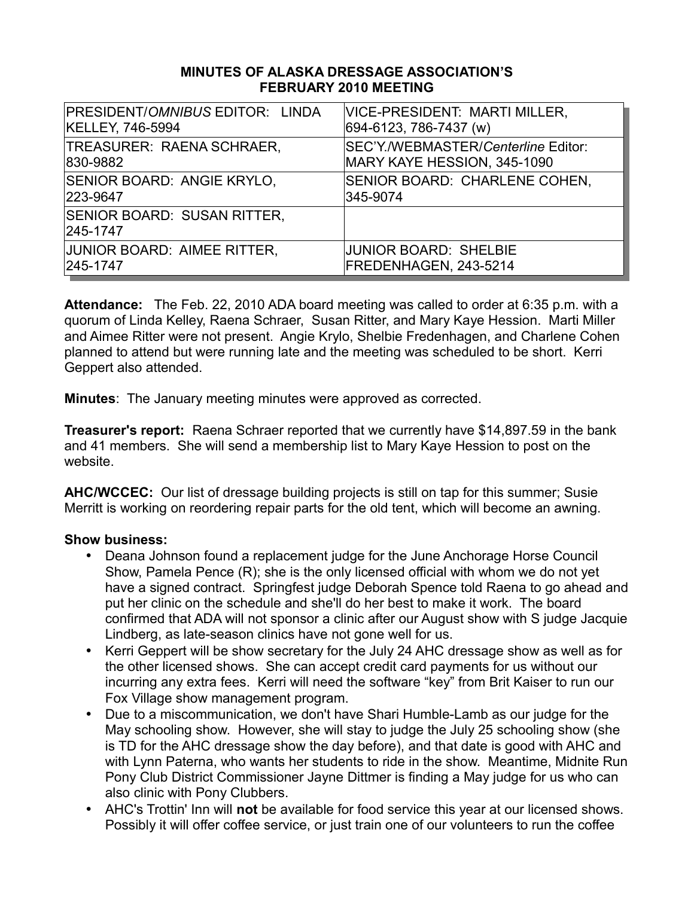#### **MINUTES OF ALASKA DRESSAGE ASSOCIATION'S FEBRUARY 2010 MEETING**

| PRESIDENT/OMNIBUS EDITOR: LINDA                | <b>VICE-PRESIDENT: MARTI MILLER,</b> |
|------------------------------------------------|--------------------------------------|
| KELLEY, 746-5994                               | 694-6123, 786-7437 (w)               |
| TREASURER: RAENA SCHRAER,                      | SEC'Y./WEBMASTER/Centerline Editor:  |
| 830-9882                                       | MARY KAYE HESSION, 345-1090          |
| SENIOR BOARD: ANGIE KRYLO,                     | SENIOR BOARD: CHARLENE COHEN,        |
| 223-9647                                       | 345-9074                             |
| <b>SENIOR BOARD: SUSAN RITTER,</b><br>245-1747 |                                      |
| JUNIOR BOARD: AIMEE RITTER,                    | <b>JUNIOR BOARD: SHELBIE</b>         |
| 245-1747                                       | FREDENHAGEN, 243-5214                |

**Attendance:** The Feb. 22, 2010 ADA board meeting was called to order at 6:35 p.m. with a quorum of Linda Kelley, Raena Schraer, Susan Ritter, and Mary Kaye Hession. Marti Miller and Aimee Ritter were not present. Angie Krylo, Shelbie Fredenhagen, and Charlene Cohen planned to attend but were running late and the meeting was scheduled to be short. Kerri Geppert also attended.

**Minutes**: The January meeting minutes were approved as corrected.

**Treasurer's report:** Raena Schraer reported that we currently have \$14,897.59 in the bank and 41 members. She will send a membership list to Mary Kaye Hession to post on the website.

**AHC/WCCEC:** Our list of dressage building projects is still on tap for this summer; Susie Merritt is working on reordering repair parts for the old tent, which will become an awning.

- Deana Johnson found a replacement judge for the June Anchorage Horse Council Show, Pamela Pence (R); she is the only licensed official with whom we do not yet have a signed contract. Springfest judge Deborah Spence told Raena to go ahead and put her clinic on the schedule and she'll do her best to make it work. The board confirmed that ADA will not sponsor a clinic after our August show with S judge Jacquie Lindberg, as late-season clinics have not gone well for us.
- Kerri Geppert will be show secretary for the July 24 AHC dressage show as well as for the other licensed shows. She can accept credit card payments for us without our incurring any extra fees. Kerri will need the software "key" from Brit Kaiser to run our Fox Village show management program.
- Due to a miscommunication, we don't have Shari Humble-Lamb as our judge for the May schooling show. However, she will stay to judge the July 25 schooling show (she is TD for the AHC dressage show the day before), and that date is good with AHC and with Lynn Paterna, who wants her students to ride in the show. Meantime, Midnite Run Pony Club District Commissioner Jayne Dittmer is finding a May judge for us who can also clinic with Pony Clubbers.
- AHC's Trottin' Inn will **not** be available for food service this year at our licensed shows. Possibly it will offer coffee service, or just train one of our volunteers to run the coffee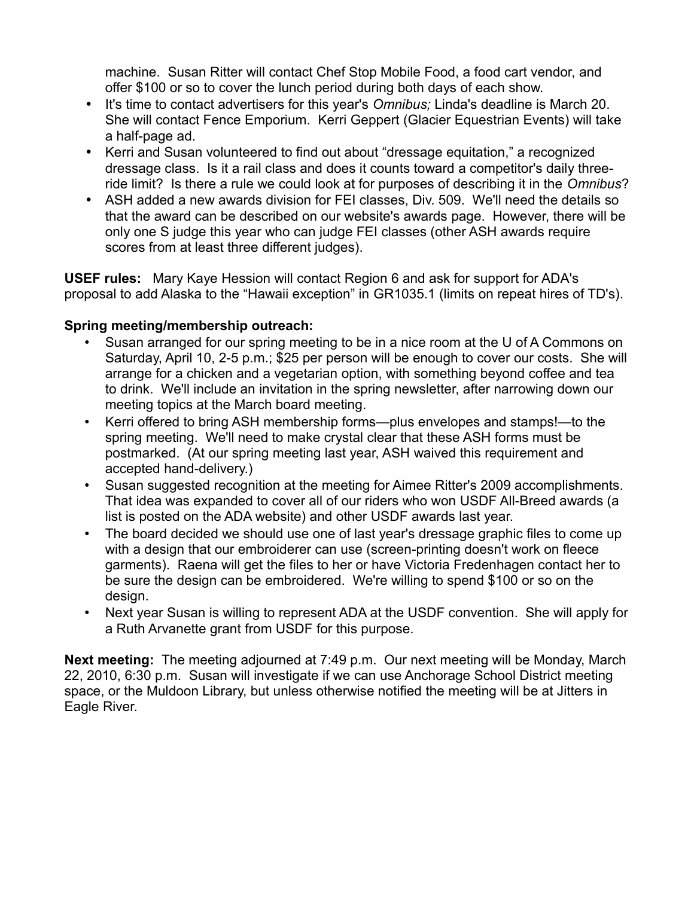machine. Susan Ritter will contact Chef Stop Mobile Food, a food cart vendor, and offer \$100 or so to cover the lunch period during both days of each show.

- It's time to contact advertisers for this year's *Omnibus;* Linda's deadline is March 20. She will contact Fence Emporium. Kerri Geppert (Glacier Equestrian Events) will take a half-page ad.
- Kerri and Susan volunteered to find out about "dressage equitation," a recognized dressage class. Is it a rail class and does it counts toward a competitor's daily threeride limit? Is there a rule we could look at for purposes of describing it in the *Omnibus*?
- ASH added a new awards division for FEI classes, Div. 509. We'll need the details so that the award can be described on our website's awards page. However, there will be only one S judge this year who can judge FEI classes (other ASH awards require scores from at least three different judges).

**USEF rules:** Mary Kaye Hession will contact Region 6 and ask for support for ADA's proposal to add Alaska to the "Hawaii exception" in GR1035.1 (limits on repeat hires of TD's).

# **Spring meeting/membership outreach:**

- Susan arranged for our spring meeting to be in a nice room at the U of A Commons on Saturday, April 10, 2-5 p.m.; \$25 per person will be enough to cover our costs. She will arrange for a chicken and a vegetarian option, with something beyond coffee and tea to drink. We'll include an invitation in the spring newsletter, after narrowing down our meeting topics at the March board meeting.
- Kerri offered to bring ASH membership forms—plus envelopes and stamps!—to the spring meeting. We'll need to make crystal clear that these ASH forms must be postmarked. (At our spring meeting last year, ASH waived this requirement and accepted hand-delivery.)
- Susan suggested recognition at the meeting for Aimee Ritter's 2009 accomplishments. That idea was expanded to cover all of our riders who won USDF All-Breed awards (a list is posted on the ADA website) and other USDF awards last year.
- The board decided we should use one of last year's dressage graphic files to come up with a design that our embroiderer can use (screen-printing doesn't work on fleece garments). Raena will get the files to her or have Victoria Fredenhagen contact her to be sure the design can be embroidered. We're willing to spend \$100 or so on the design.
- Next year Susan is willing to represent ADA at the USDF convention. She will apply for a Ruth Arvanette grant from USDF for this purpose.

**Next meeting:** The meeting adjourned at 7:49 p.m. Our next meeting will be Monday, March 22, 2010, 6:30 p.m. Susan will investigate if we can use Anchorage School District meeting space, or the Muldoon Library, but unless otherwise notified the meeting will be at Jitters in Eagle River.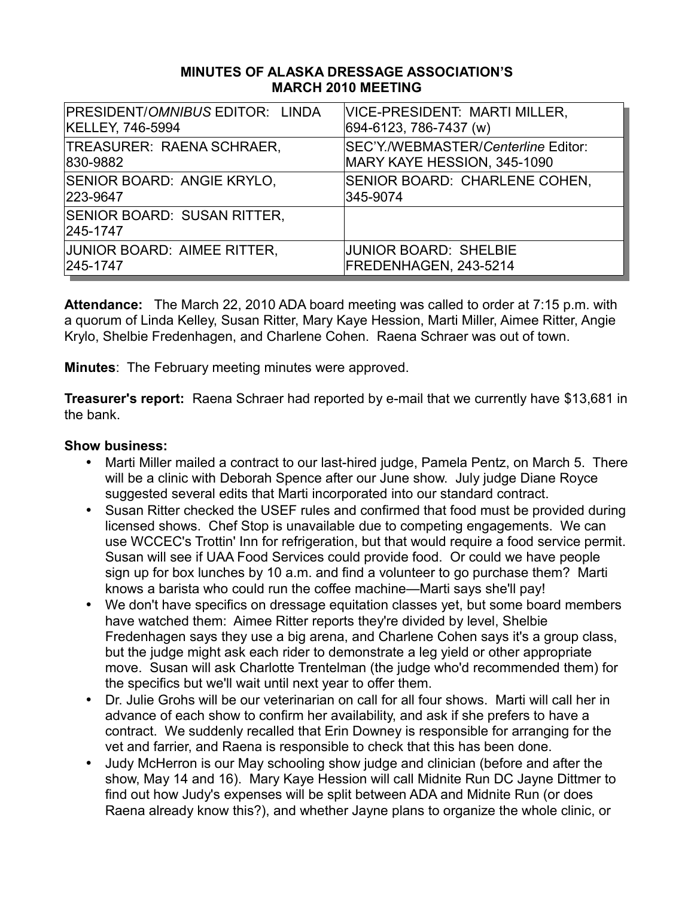#### **MINUTES OF ALASKA DRESSAGE ASSOCIATION'S MARCH 2010 MEETING**

| <b>PRESIDENT/OMNIBUS EDITOR: LINDA</b>         | <b>VICE-PRESIDENT: MARTI MILLER,</b> |
|------------------------------------------------|--------------------------------------|
| <b>KELLEY, 746-5994</b>                        | 694-6123, 786-7437 (w)               |
| TREASURER: RAENA SCHRAER,                      | SEC'Y./WEBMASTER/Centerline Editor:  |
| 830-9882                                       | MARY KAYE HESSION, 345-1090          |
| SENIOR BOARD: ANGIE KRYLO,                     | SENIOR BOARD: CHARLENE COHEN,        |
| 223-9647                                       | 345-9074                             |
| <b>SENIOR BOARD: SUSAN RITTER,</b><br>245-1747 |                                      |
| JUNIOR BOARD: AIMEE RITTER,                    | <b>JUNIOR BOARD: SHELBIE</b>         |
| 245-1747                                       | FREDENHAGEN, 243-5214                |

**Attendance:** The March 22, 2010 ADA board meeting was called to order at 7:15 p.m. with a quorum of Linda Kelley, Susan Ritter, Mary Kaye Hession, Marti Miller, Aimee Ritter, Angie Krylo, Shelbie Fredenhagen, and Charlene Cohen. Raena Schraer was out of town.

**Minutes**: The February meeting minutes were approved.

**Treasurer's report:** Raena Schraer had reported by e-mail that we currently have \$13,681 in the bank.

- Marti Miller mailed a contract to our last-hired judge, Pamela Pentz, on March 5. There will be a clinic with Deborah Spence after our June show. July judge Diane Royce suggested several edits that Marti incorporated into our standard contract.
- Susan Ritter checked the USEF rules and confirmed that food must be provided during licensed shows. Chef Stop is unavailable due to competing engagements. We can use WCCEC's Trottin' Inn for refrigeration, but that would require a food service permit. Susan will see if UAA Food Services could provide food. Or could we have people sign up for box lunches by 10 a.m. and find a volunteer to go purchase them? Marti knows a barista who could run the coffee machine—Marti says she'll pay!
- We don't have specifics on dressage equitation classes yet, but some board members have watched them: Aimee Ritter reports they're divided by level, Shelbie Fredenhagen says they use a big arena, and Charlene Cohen says it's a group class, but the judge might ask each rider to demonstrate a leg yield or other appropriate move. Susan will ask Charlotte Trentelman (the judge who'd recommended them) for the specifics but we'll wait until next year to offer them.
- Dr. Julie Grohs will be our veterinarian on call for all four shows. Marti will call her in advance of each show to confirm her availability, and ask if she prefers to have a contract. We suddenly recalled that Erin Downey is responsible for arranging for the vet and farrier, and Raena is responsible to check that this has been done.
- Judy McHerron is our May schooling show judge and clinician (before and after the show, May 14 and 16). Mary Kaye Hession will call Midnite Run DC Jayne Dittmer to find out how Judy's expenses will be split between ADA and Midnite Run (or does Raena already know this?), and whether Jayne plans to organize the whole clinic, or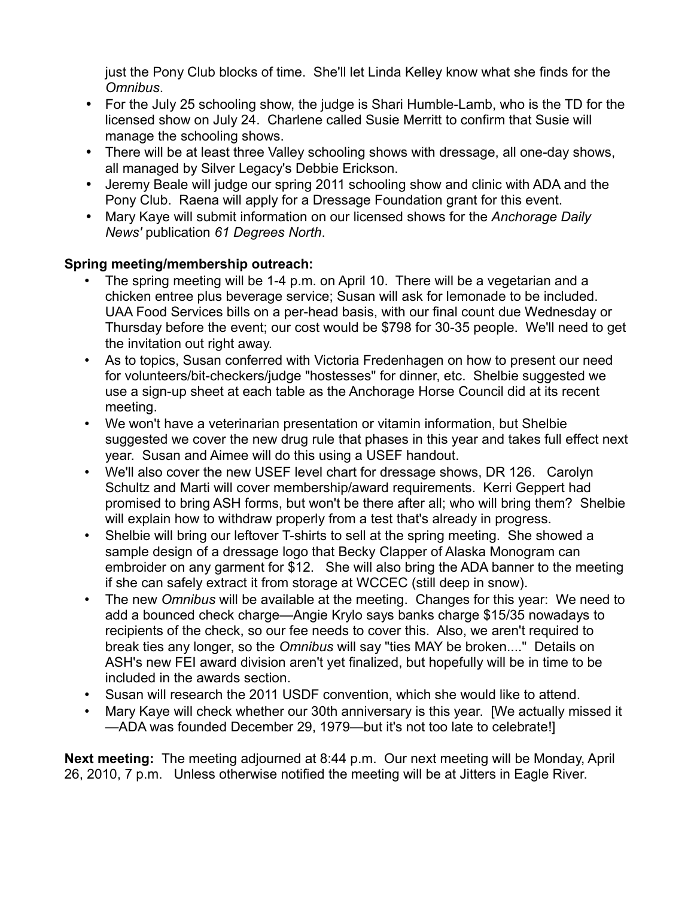just the Pony Club blocks of time. She'll let Linda Kelley know what she finds for the *Omnibus*.

- For the July 25 schooling show, the judge is Shari Humble-Lamb, who is the TD for the licensed show on July 24. Charlene called Susie Merritt to confirm that Susie will manage the schooling shows.
- There will be at least three Valley schooling shows with dressage, all one-day shows, all managed by Silver Legacy's Debbie Erickson.
- Jeremy Beale will judge our spring 2011 schooling show and clinic with ADA and the Pony Club. Raena will apply for a Dressage Foundation grant for this event.
- Mary Kaye will submit information on our licensed shows for the *Anchorage Daily News'* publication *61 Degrees North*.

# **Spring meeting/membership outreach:**

- The spring meeting will be 1-4 p.m. on April 10. There will be a vegetarian and a chicken entree plus beverage service; Susan will ask for lemonade to be included. UAA Food Services bills on a per-head basis, with our final count due Wednesday or Thursday before the event; our cost would be \$798 for 30-35 people. We'll need to get the invitation out right away.
- As to topics, Susan conferred with Victoria Fredenhagen on how to present our need for volunteers/bit-checkers/judge "hostesses" for dinner, etc. Shelbie suggested we use a sign-up sheet at each table as the Anchorage Horse Council did at its recent meeting.
- We won't have a veterinarian presentation or vitamin information, but Shelbie suggested we cover the new drug rule that phases in this year and takes full effect next year. Susan and Aimee will do this using a USEF handout.
- We'll also cover the new USEF level chart for dressage shows, DR 126. Carolyn Schultz and Marti will cover membership/award requirements. Kerri Geppert had promised to bring ASH forms, but won't be there after all; who will bring them? Shelbie will explain how to withdraw properly from a test that's already in progress.
- Shelbie will bring our leftover T-shirts to sell at the spring meeting. She showed a sample design of a dressage logo that Becky Clapper of Alaska Monogram can embroider on any garment for \$12. She will also bring the ADA banner to the meeting if she can safely extract it from storage at WCCEC (still deep in snow).
- The new *Omnibus* will be available at the meeting. Changes for this year: We need to add a bounced check charge—Angie Krylo says banks charge \$15/35 nowadays to recipients of the check, so our fee needs to cover this. Also, we aren't required to break ties any longer, so the *Omnibus* will say "ties MAY be broken...." Details on ASH's new FEI award division aren't yet finalized, but hopefully will be in time to be included in the awards section.
- Susan will research the 2011 USDF convention, which she would like to attend.
- Mary Kaye will check whether our 30th anniversary is this year. [We actually missed it —ADA was founded December 29, 1979—but it's not too late to celebrate!]

**Next meeting:** The meeting adjourned at 8:44 p.m. Our next meeting will be Monday, April 26, 2010, 7 p.m. Unless otherwise notified the meeting will be at Jitters in Eagle River.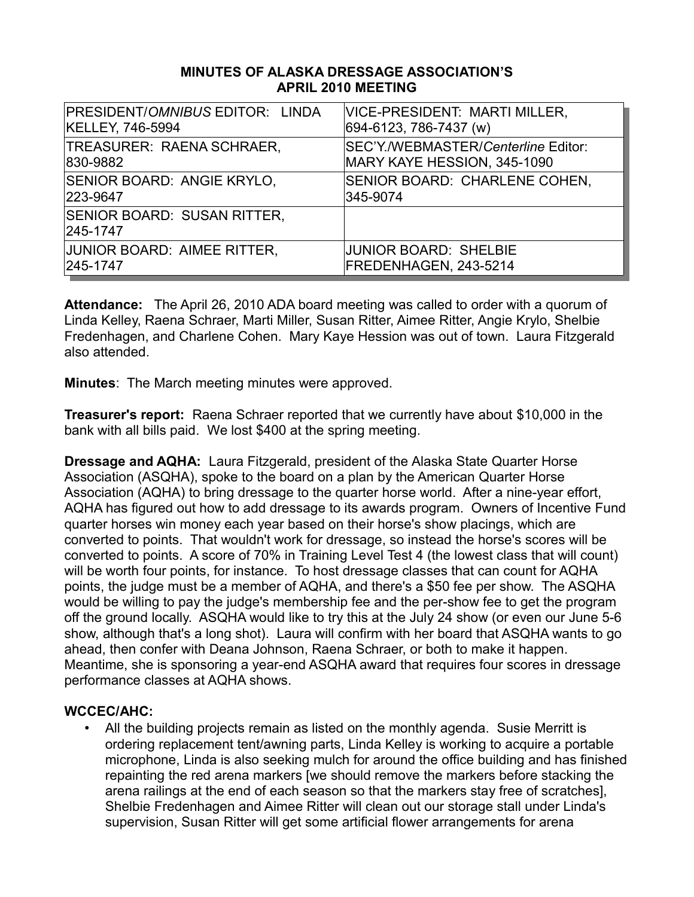#### **MINUTES OF ALASKA DRESSAGE ASSOCIATION'S APRIL 2010 MEETING**

| PRESIDENT/OMNIBUS EDITOR: LINDA                | VICE-PRESIDENT: MARTI MILLER,       |
|------------------------------------------------|-------------------------------------|
| KELLEY, 746-5994                               | 694-6123, 786-7437 (w)              |
| TREASURER: RAENA SCHRAER,                      | SEC'Y./WEBMASTER/Centerline Editor: |
| 830-9882                                       | MARY KAYE HESSION, 345-1090         |
| SENIOR BOARD: ANGIE KRYLO,                     | SENIOR BOARD: CHARLENE COHEN,       |
| 223-9647                                       | 345-9074                            |
| <b>SENIOR BOARD: SUSAN RITTER,</b><br>245-1747 |                                     |
| JUNIOR BOARD: AIMEE RITTER,                    | <b>JUNIOR BOARD: SHELBIE</b>        |
| 245-1747                                       | FREDENHAGEN, 243-5214               |

**Attendance:** The April 26, 2010 ADA board meeting was called to order with a quorum of Linda Kelley, Raena Schraer, Marti Miller, Susan Ritter, Aimee Ritter, Angie Krylo, Shelbie Fredenhagen, and Charlene Cohen. Mary Kaye Hession was out of town. Laura Fitzgerald also attended.

**Minutes**: The March meeting minutes were approved.

**Treasurer's report:** Raena Schraer reported that we currently have about \$10,000 in the bank with all bills paid. We lost \$400 at the spring meeting.

**Dressage and AQHA:** Laura Fitzgerald, president of the Alaska State Quarter Horse Association (ASQHA), spoke to the board on a plan by the American Quarter Horse Association (AQHA) to bring dressage to the quarter horse world. After a nine-year effort, AQHA has figured out how to add dressage to its awards program. Owners of Incentive Fund quarter horses win money each year based on their horse's show placings, which are converted to points. That wouldn't work for dressage, so instead the horse's scores will be converted to points. A score of 70% in Training Level Test 4 (the lowest class that will count) will be worth four points, for instance. To host dressage classes that can count for AQHA points, the judge must be a member of AQHA, and there's a \$50 fee per show. The ASQHA would be willing to pay the judge's membership fee and the per-show fee to get the program off the ground locally. ASQHA would like to try this at the July 24 show (or even our June 5-6 show, although that's a long shot). Laura will confirm with her board that ASQHA wants to go ahead, then confer with Deana Johnson, Raena Schraer, or both to make it happen. Meantime, she is sponsoring a year-end ASQHA award that requires four scores in dressage performance classes at AQHA shows.

# **WCCEC/AHC:**

• All the building projects remain as listed on the monthly agenda. Susie Merritt is ordering replacement tent/awning parts, Linda Kelley is working to acquire a portable microphone, Linda is also seeking mulch for around the office building and has finished repainting the red arena markers [we should remove the markers before stacking the arena railings at the end of each season so that the markers stay free of scratches], Shelbie Fredenhagen and Aimee Ritter will clean out our storage stall under Linda's supervision, Susan Ritter will get some artificial flower arrangements for arena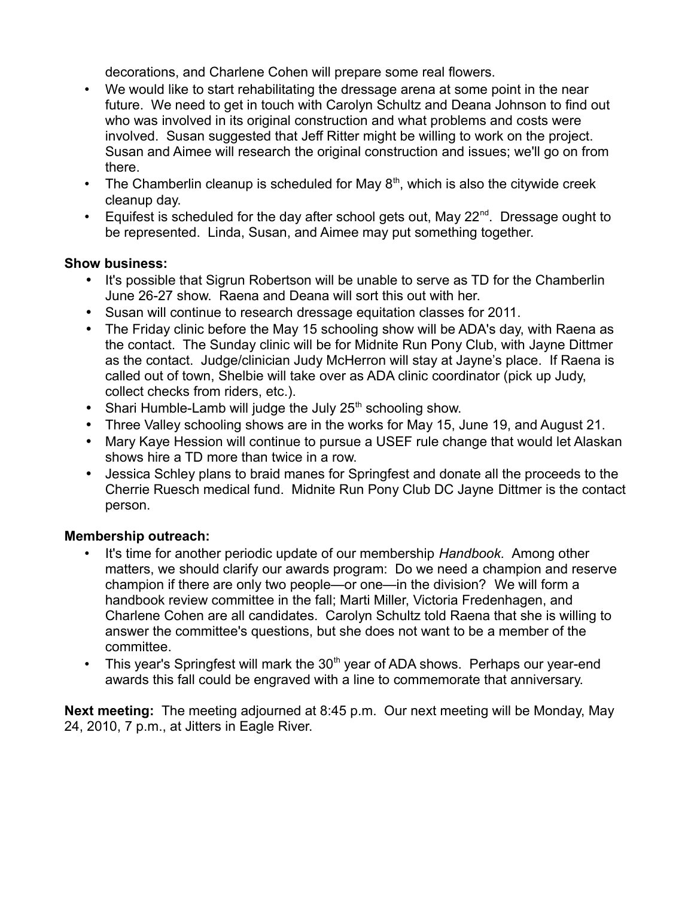decorations, and Charlene Cohen will prepare some real flowers.

- We would like to start rehabilitating the dressage arena at some point in the near future. We need to get in touch with Carolyn Schultz and Deana Johnson to find out who was involved in its original construction and what problems and costs were involved. Susan suggested that Jeff Ritter might be willing to work on the project. Susan and Aimee will research the original construction and issues; we'll go on from there.
- The Chamberlin cleanup is scheduled for May  $8<sup>th</sup>$ , which is also the citywide creek cleanup day.
- Equifest is scheduled for the day after school gets out, May  $22<sup>nd</sup>$ . Dressage ought to be represented. Linda, Susan, and Aimee may put something together.

## **Show business:**

- It's possible that Sigrun Robertson will be unable to serve as TD for the Chamberlin June 26-27 show. Raena and Deana will sort this out with her.
- Susan will continue to research dressage equitation classes for 2011.
- The Friday clinic before the May 15 schooling show will be ADA's day, with Raena as the contact. The Sunday clinic will be for Midnite Run Pony Club, with Jayne Dittmer as the contact. Judge/clinician Judy McHerron will stay at Jayne's place. If Raena is called out of town, Shelbie will take over as ADA clinic coordinator (pick up Judy, collect checks from riders, etc.).
- Shari Humble-Lamb will judge the July  $25<sup>th</sup>$  schooling show.
- Three Valley schooling shows are in the works for May 15, June 19, and August 21.
- Mary Kaye Hession will continue to pursue a USEF rule change that would let Alaskan shows hire a TD more than twice in a row.
- Jessica Schley plans to braid manes for Springfest and donate all the proceeds to the Cherrie Ruesch medical fund. Midnite Run Pony Club DC Jayne Dittmer is the contact person.

# **Membership outreach:**

- It's time for another periodic update of our membership *Handbook.* Among other matters, we should clarify our awards program: Do we need a champion and reserve champion if there are only two people—or one—in the division? We will form a handbook review committee in the fall; Marti Miller, Victoria Fredenhagen, and Charlene Cohen are all candidates. Carolyn Schultz told Raena that she is willing to answer the committee's questions, but she does not want to be a member of the committee.
- This year's Springfest will mark the  $30<sup>th</sup>$  year of ADA shows. Perhaps our year-end awards this fall could be engraved with a line to commemorate that anniversary.

**Next meeting:** The meeting adjourned at 8:45 p.m. Our next meeting will be Monday, May 24, 2010, 7 p.m., at Jitters in Eagle River.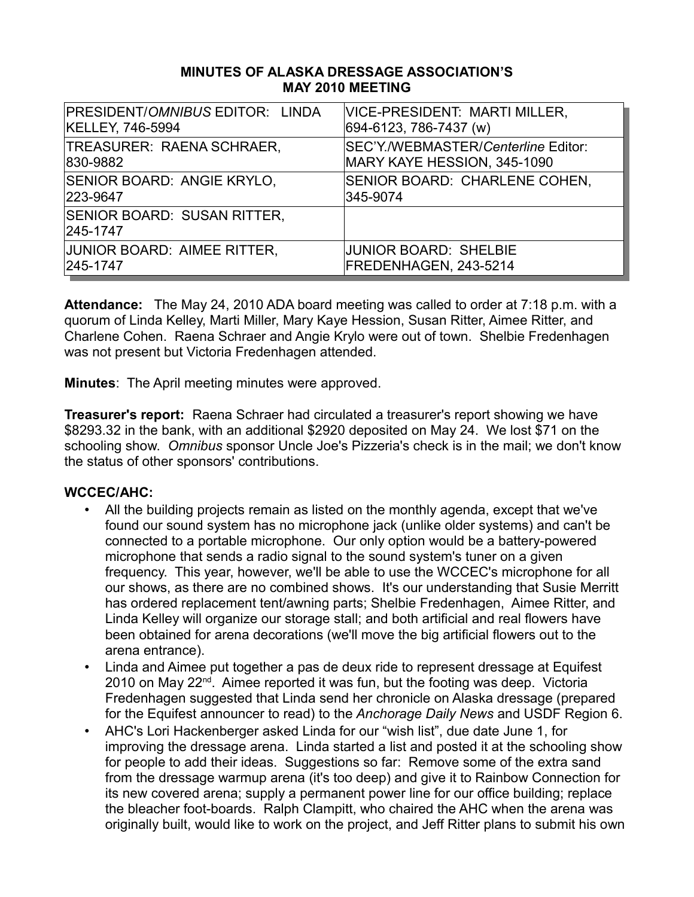#### **MINUTES OF ALASKA DRESSAGE ASSOCIATION'S MAY 2010 MEETING**

| PRESIDENT/OMNIBUS EDITOR: LINDA         | VICE-PRESIDENT: MARTI MILLER,       |
|-----------------------------------------|-------------------------------------|
| <b>KELLEY, 746-5994</b>                 | 694-6123, 786-7437 (w)              |
| TREASURER: RAENA SCHRAER,               | SEC'Y./WEBMASTER/Centerline Editor: |
| 830-9882                                | MARY KAYE HESSION, 345-1090         |
| SENIOR BOARD: ANGIE KRYLO,              | SENIOR BOARD: CHARLENE COHEN,       |
| 223-9647                                | 345-9074                            |
| SENIOR BOARD: SUSAN RITTER,<br>245-1747 |                                     |
| JUNIOR BOARD: AIMEE RITTER,             | <b>JUNIOR BOARD: SHELBIE</b>        |
| 245-1747                                | FREDENHAGEN, 243-5214               |

**Attendance:** The May 24, 2010 ADA board meeting was called to order at 7:18 p.m. with a quorum of Linda Kelley, Marti Miller, Mary Kaye Hession, Susan Ritter, Aimee Ritter, and Charlene Cohen. Raena Schraer and Angie Krylo were out of town. Shelbie Fredenhagen was not present but Victoria Fredenhagen attended.

**Minutes**: The April meeting minutes were approved.

**Treasurer's report:** Raena Schraer had circulated a treasurer's report showing we have \$8293.32 in the bank, with an additional \$2920 deposited on May 24. We lost \$71 on the schooling show. *Omnibus* sponsor Uncle Joe's Pizzeria's check is in the mail; we don't know the status of other sponsors' contributions.

# **WCCEC/AHC:**

- All the building projects remain as listed on the monthly agenda, except that we've found our sound system has no microphone jack (unlike older systems) and can't be connected to a portable microphone. Our only option would be a battery-powered microphone that sends a radio signal to the sound system's tuner on a given frequency. This year, however, we'll be able to use the WCCEC's microphone for all our shows, as there are no combined shows. It's our understanding that Susie Merritt has ordered replacement tent/awning parts; Shelbie Fredenhagen, Aimee Ritter, and Linda Kelley will organize our storage stall; and both artificial and real flowers have been obtained for arena decorations (we'll move the big artificial flowers out to the arena entrance).
- Linda and Aimee put together a pas de deux ride to represent dressage at Equifest 2010 on May 22nd. Aimee reported it was fun, but the footing was deep. Victoria Fredenhagen suggested that Linda send her chronicle on Alaska dressage (prepared for the Equifest announcer to read) to the *Anchorage Daily News* and USDF Region 6.
- AHC's Lori Hackenberger asked Linda for our "wish list", due date June 1, for improving the dressage arena. Linda started a list and posted it at the schooling show for people to add their ideas. Suggestions so far: Remove some of the extra sand from the dressage warmup arena (it's too deep) and give it to Rainbow Connection for its new covered arena; supply a permanent power line for our office building; replace the bleacher foot-boards. Ralph Clampitt, who chaired the AHC when the arena was originally built, would like to work on the project, and Jeff Ritter plans to submit his own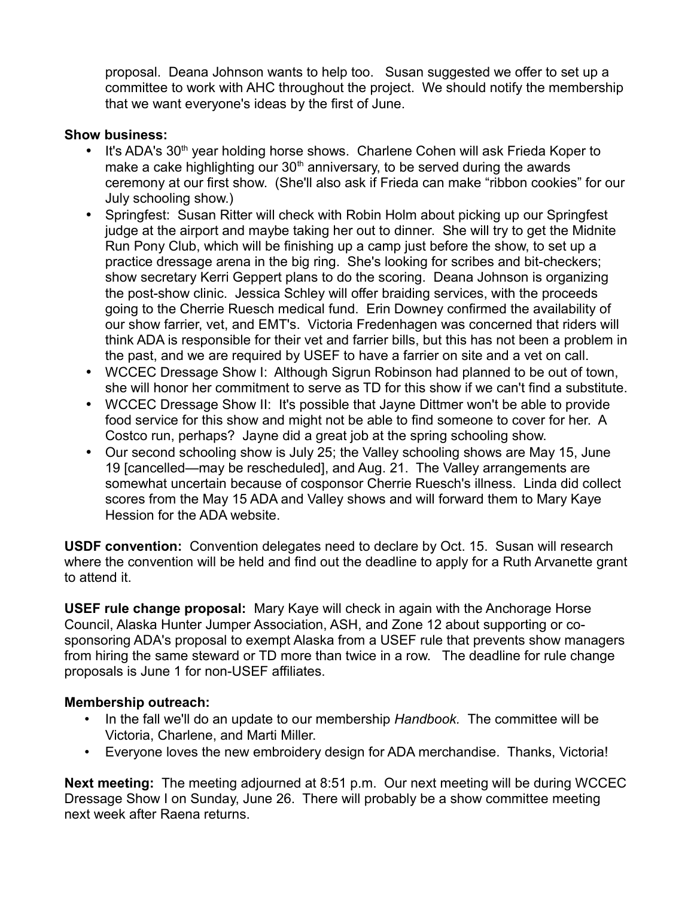proposal. Deana Johnson wants to help too. Susan suggested we offer to set up a committee to work with AHC throughout the project. We should notify the membership that we want everyone's ideas by the first of June.

#### **Show business:**

- It's ADA's 30<sup>th</sup> year holding horse shows. Charlene Cohen will ask Frieda Koper to make a cake highlighting our  $30<sup>th</sup>$  anniversary, to be served during the awards ceremony at our first show. (She'll also ask if Frieda can make "ribbon cookies" for our July schooling show.)
- Springfest: Susan Ritter will check with Robin Holm about picking up our Springfest judge at the airport and maybe taking her out to dinner. She will try to get the Midnite Run Pony Club, which will be finishing up a camp just before the show, to set up a practice dressage arena in the big ring. She's looking for scribes and bit-checkers; show secretary Kerri Geppert plans to do the scoring. Deana Johnson is organizing the post-show clinic. Jessica Schley will offer braiding services, with the proceeds going to the Cherrie Ruesch medical fund. Erin Downey confirmed the availability of our show farrier, vet, and EMT's. Victoria Fredenhagen was concerned that riders will think ADA is responsible for their vet and farrier bills, but this has not been a problem in the past, and we are required by USEF to have a farrier on site and a vet on call.
- WCCEC Dressage Show I: Although Sigrun Robinson had planned to be out of town, she will honor her commitment to serve as TD for this show if we can't find a substitute.
- WCCEC Dressage Show II: It's possible that Jayne Dittmer won't be able to provide food service for this show and might not be able to find someone to cover for her. A Costco run, perhaps? Jayne did a great job at the spring schooling show.
- Our second schooling show is July 25; the Valley schooling shows are May 15, June 19 [cancelled—may be rescheduled], and Aug. 21. The Valley arrangements are somewhat uncertain because of cosponsor Cherrie Ruesch's illness. Linda did collect scores from the May 15 ADA and Valley shows and will forward them to Mary Kaye Hession for the ADA website.

**USDF convention:** Convention delegates need to declare by Oct. 15. Susan will research where the convention will be held and find out the deadline to apply for a Ruth Arvanette grant to attend it.

**USEF rule change proposal:** Mary Kaye will check in again with the Anchorage Horse Council, Alaska Hunter Jumper Association, ASH, and Zone 12 about supporting or cosponsoring ADA's proposal to exempt Alaska from a USEF rule that prevents show managers from hiring the same steward or TD more than twice in a row. The deadline for rule change proposals is June 1 for non-USEF affiliates.

#### **Membership outreach:**

- In the fall we'll do an update to our membership *Handbook.* The committee will be Victoria, Charlene, and Marti Miller.
- Everyone loves the new embroidery design for ADA merchandise. Thanks, Victoria!

**Next meeting:** The meeting adjourned at 8:51 p.m. Our next meeting will be during WCCEC Dressage Show I on Sunday, June 26. There will probably be a show committee meeting next week after Raena returns.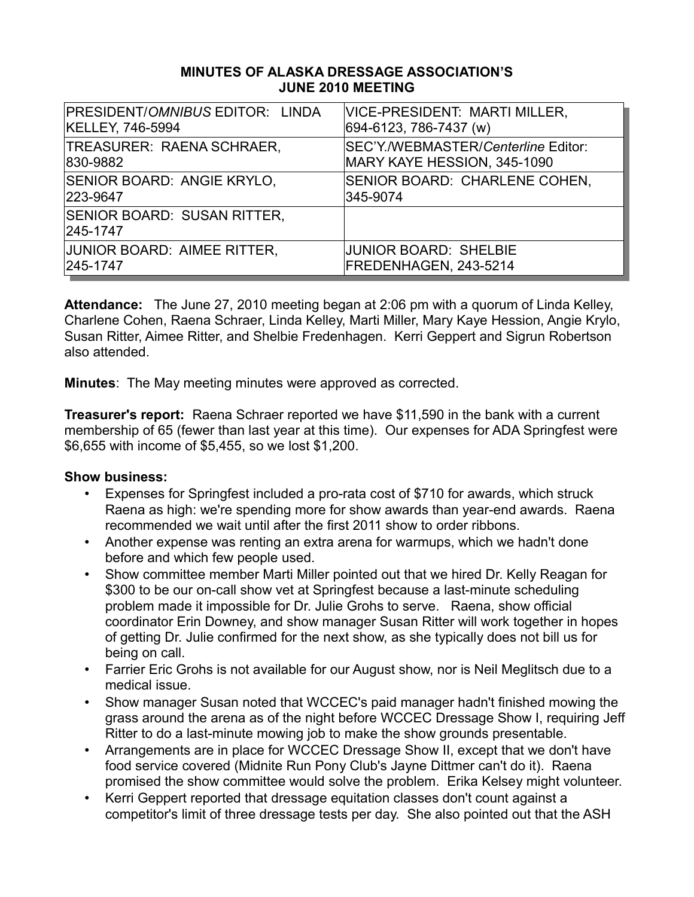#### **MINUTES OF ALASKA DRESSAGE ASSOCIATION'S JUNE 2010 MEETING**

| PRESIDENT/OMNIBUS EDITOR: LINDA         | VICE-PRESIDENT: MARTI MILLER,       |
|-----------------------------------------|-------------------------------------|
| <b>KELLEY, 746-5994</b>                 | 694-6123, 786-7437 (w)              |
| TREASURER: RAENA SCHRAER,               | SEC'Y./WEBMASTER/Centerline Editor: |
| 830-9882                                | MARY KAYE HESSION, 345-1090         |
| SENIOR BOARD: ANGIE KRYLO,              | SENIOR BOARD: CHARLENE COHEN,       |
| 223-9647                                | 345-9074                            |
| SENIOR BOARD: SUSAN RITTER,<br>245-1747 |                                     |
| JUNIOR BOARD: AIMEE RITTER,             | <b>JUNIOR BOARD: SHELBIE</b>        |
| 245-1747                                | FREDENHAGEN, 243-5214               |

**Attendance:** The June 27, 2010 meeting began at 2:06 pm with a quorum of Linda Kelley, Charlene Cohen, Raena Schraer, Linda Kelley, Marti Miller, Mary Kaye Hession, Angie Krylo, Susan Ritter, Aimee Ritter, and Shelbie Fredenhagen. Kerri Geppert and Sigrun Robertson also attended.

**Minutes**: The May meeting minutes were approved as corrected.

**Treasurer's report:** Raena Schraer reported we have \$11,590 in the bank with a current membership of 65 (fewer than last year at this time). Our expenses for ADA Springfest were \$6,655 with income of \$5,455, so we lost \$1,200.

- Expenses for Springfest included a pro-rata cost of \$710 for awards, which struck Raena as high: we're spending more for show awards than year-end awards. Raena recommended we wait until after the first 2011 show to order ribbons.
- Another expense was renting an extra arena for warmups, which we hadn't done before and which few people used.
- Show committee member Marti Miller pointed out that we hired Dr. Kelly Reagan for \$300 to be our on-call show vet at Springfest because a last-minute scheduling problem made it impossible for Dr. Julie Grohs to serve. Raena, show official coordinator Erin Downey, and show manager Susan Ritter will work together in hopes of getting Dr. Julie confirmed for the next show, as she typically does not bill us for being on call.
- Farrier Eric Grohs is not available for our August show, nor is Neil Meglitsch due to a medical issue.
- Show manager Susan noted that WCCEC's paid manager hadn't finished mowing the grass around the arena as of the night before WCCEC Dressage Show I, requiring Jeff Ritter to do a last-minute mowing job to make the show grounds presentable.
- Arrangements are in place for WCCEC Dressage Show II, except that we don't have food service covered (Midnite Run Pony Club's Jayne Dittmer can't do it). Raena promised the show committee would solve the problem. Erika Kelsey might volunteer.
- Kerri Geppert reported that dressage equitation classes don't count against a competitor's limit of three dressage tests per day. She also pointed out that the ASH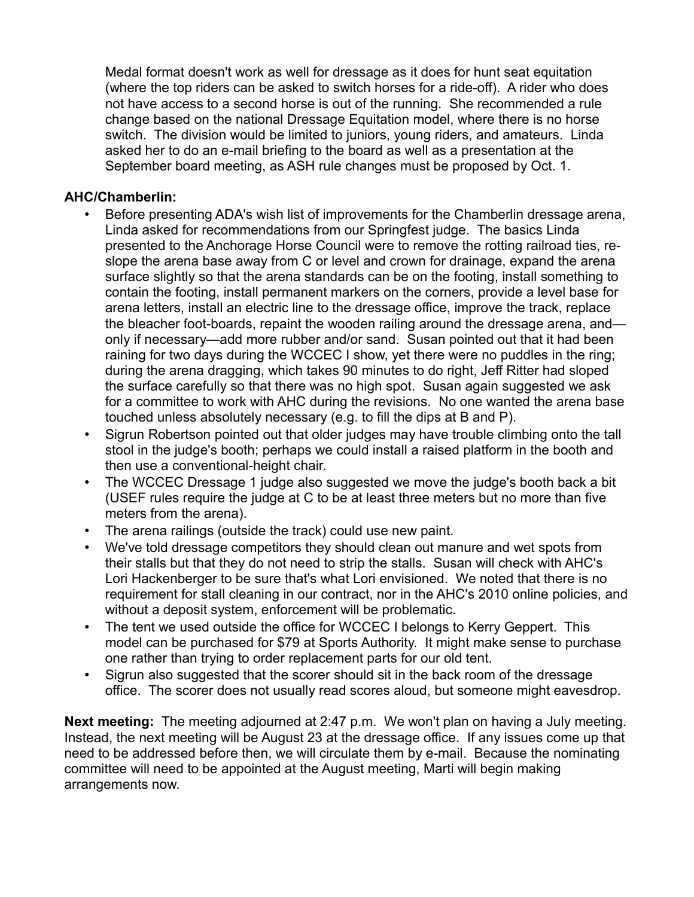Medal format doesn't work as well for dressage as it does for hunt seat equitation (where the top riders can be asked to switch horses for a ride-off). A rider who does not have access to a second horse is out of the running. She recommended a rule change based on the national Dressage Equitation model, where there is no horse switch. The division would be limited to juniors, young riders, and amateurs. Linda asked her to do an e-mail briefing to the board as well as a presentation at the September board meeting, as ASH rule changes must be proposed by Oct. 1.

#### **AHC/Chamberlin:**

- Before presenting ADA's wish list of improvements for the Chamberlin dressage arena, Linda asked for recommendations from our Springfest judge. The basics Linda presented to the Anchorage Horse Council were to remove the rotting railroad ties, reslope the arena base away from C or level and crown for drainage, expand the arena surface slightly so that the arena standards can be on the footing, install something to contain the footing, install permanent markers on the corners, provide a level base for arena letters, install an electric line to the dressage office, improve the track, replace the bleacher foot-boards, repaint the wooden railing around the dressage arena, and only if necessary—add more rubber and/or sand. Susan pointed out that it had been raining for two days during the WCCEC I show, yet there were no puddles in the ring; during the arena dragging, which takes 90 minutes to do right, Jeff Ritter had sloped the surface carefully so that there was no high spot. Susan again suggested we ask for a committee to work with AHC during the revisions. No one wanted the arena base touched unless absolutely necessary (e.g. to fill the dips at B and P).
- Sigrun Robertson pointed out that older judges may have trouble climbing onto the tall stool in the judge's booth; perhaps we could install a raised platform in the booth and then use a conventional-height chair.
- The WCCEC Dressage 1 judge also suggested we move the judge's booth back a bit (USEF rules require the judge at C to be at least three meters but no more than five meters from the arena).
- The arena railings (outside the track) could use new paint.
- We've told dressage competitors they should clean out manure and wet spots from their stalls but that they do not need to strip the stalls. Susan will check with AHC's Lori Hackenberger to be sure that's what Lori envisioned. We noted that there is no requirement for stall cleaning in our contract, nor in the AHC's 2010 online policies, and without a deposit system, enforcement will be problematic.
- The tent we used outside the office for WCCEC I belongs to Kerry Geppert. This model can be purchased for \$79 at Sports Authority. It might make sense to purchase one rather than trying to order replacement parts for our old tent.
- Sigrun also suggested that the scorer should sit in the back room of the dressage office. The scorer does not usually read scores aloud, but someone might eavesdrop.

**Next meeting:** The meeting adjourned at 2:47 p.m. We won't plan on having a July meeting. Instead, the next meeting will be August 23 at the dressage office. If any issues come up that need to be addressed before then, we will circulate them by e-mail. Because the nominating committee will need to be appointed at the August meeting, Marti will begin making arrangements now.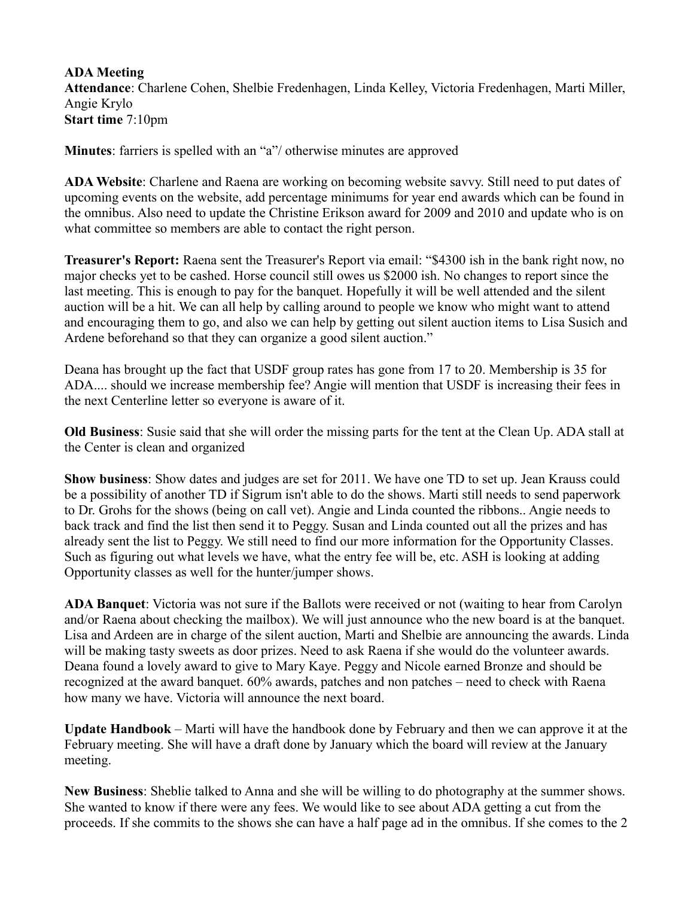### **ADA Meeting**

**Attendance**: Charlene Cohen, Shelbie Fredenhagen, Linda Kelley, Victoria Fredenhagen, Marti Miller, Angie Krylo **Start time** 7:10pm

**Minutes**: farriers is spelled with an "a"/ otherwise minutes are approved

**ADA Website**: Charlene and Raena are working on becoming website savvy. Still need to put dates of upcoming events on the website, add percentage minimums for year end awards which can be found in the omnibus. Also need to update the Christine Erikson award for 2009 and 2010 and update who is on what committee so members are able to contact the right person.

**Treasurer's Report:** Raena sent the Treasurer's Report via email: "\$4300 ish in the bank right now, no major checks yet to be cashed. Horse council still owes us \$2000 ish. No changes to report since the last meeting. This is enough to pay for the banquet. Hopefully it will be well attended and the silent auction will be a hit. We can all help by calling around to people we know who might want to attend and encouraging them to go, and also we can help by getting out silent auction items to Lisa Susich and Ardene beforehand so that they can organize a good silent auction."

Deana has brought up the fact that USDF group rates has gone from 17 to 20. Membership is 35 for ADA.... should we increase membership fee? Angie will mention that USDF is increasing their fees in the next Centerline letter so everyone is aware of it.

**Old Business**: Susie said that she will order the missing parts for the tent at the Clean Up. ADA stall at the Center is clean and organized

**Show business**: Show dates and judges are set for 2011. We have one TD to set up. Jean Krauss could be a possibility of another TD if Sigrum isn't able to do the shows. Marti still needs to send paperwork to Dr. Grohs for the shows (being on call vet). Angie and Linda counted the ribbons.. Angie needs to back track and find the list then send it to Peggy. Susan and Linda counted out all the prizes and has already sent the list to Peggy. We still need to find our more information for the Opportunity Classes. Such as figuring out what levels we have, what the entry fee will be, etc. ASH is looking at adding Opportunity classes as well for the hunter/jumper shows.

**ADA Banquet**: Victoria was not sure if the Ballots were received or not (waiting to hear from Carolyn and/or Raena about checking the mailbox). We will just announce who the new board is at the banquet. Lisa and Ardeen are in charge of the silent auction, Marti and Shelbie are announcing the awards. Linda will be making tasty sweets as door prizes. Need to ask Raena if she would do the volunteer awards. Deana found a lovely award to give to Mary Kaye. Peggy and Nicole earned Bronze and should be recognized at the award banquet. 60% awards, patches and non patches – need to check with Raena how many we have. Victoria will announce the next board.

**Update Handbook** – Marti will have the handbook done by February and then we can approve it at the February meeting. She will have a draft done by January which the board will review at the January meeting.

**New Business**: Sheblie talked to Anna and she will be willing to do photography at the summer shows. She wanted to know if there were any fees. We would like to see about ADA getting a cut from the proceeds. If she commits to the shows she can have a half page ad in the omnibus. If she comes to the 2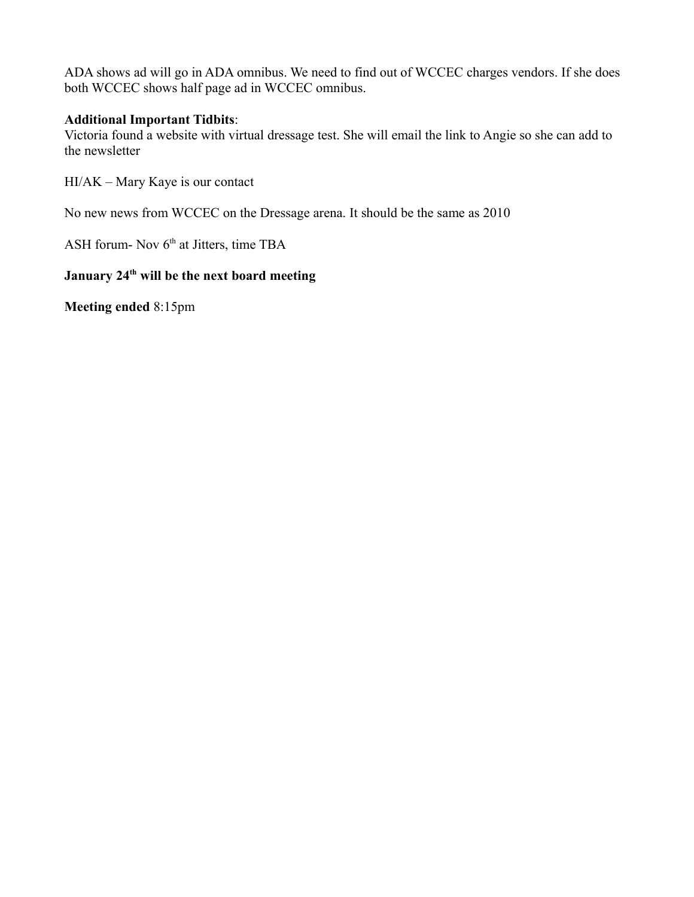ADA shows ad will go in ADA omnibus. We need to find out of WCCEC charges vendors. If she does both WCCEC shows half page ad in WCCEC omnibus.

#### **Additional Important Tidbits**:

Victoria found a website with virtual dressage test. She will email the link to Angie so she can add to the newsletter

HI/AK – Mary Kaye is our contact

No new news from WCCEC on the Dressage arena. It should be the same as 2010

ASH forum- Nov  $6<sup>th</sup>$  at Jitters, time TBA

# **January 24th will be the next board meeting**

**Meeting ended** 8:15pm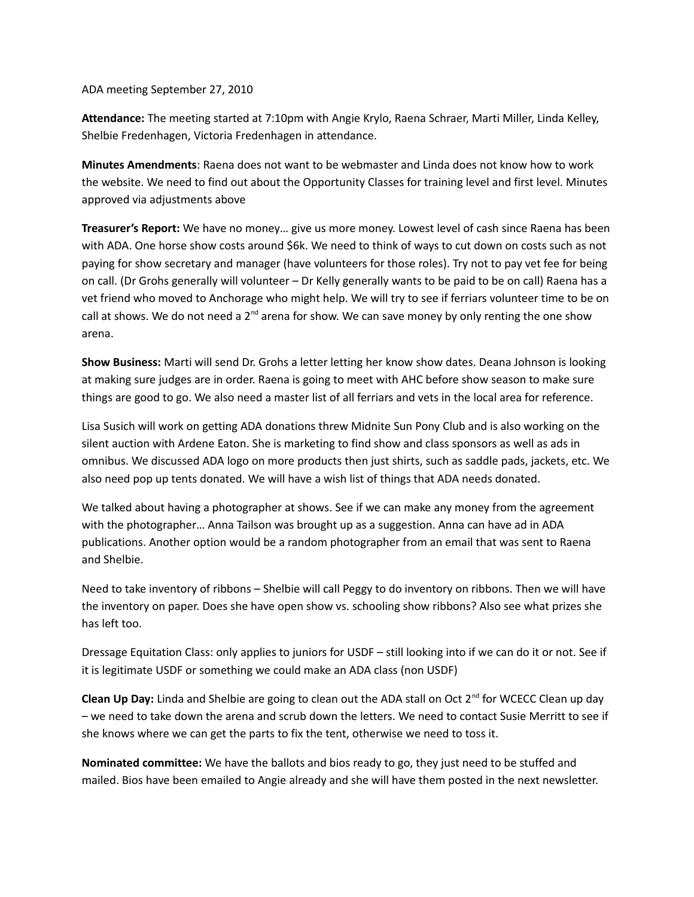#### ADA meeting September 27, 2010

**Attendance:** The meeting started at 7:10pm with Angie Krylo, Raena Schraer, Marti Miller, Linda Kelley, Shelbie Fredenhagen, Victoria Fredenhagen in attendance.

**Minutes Amendments**: Raena does not want to be webmaster and Linda does not know how to work the website. We need to find out about the Opportunity Classes for training level and first level. Minutes approved via adjustments above

**Treasurer's Report:** We have no money… give us more money. Lowest level of cash since Raena has been with ADA. One horse show costs around \$6k. We need to think of ways to cut down on costs such as not paying for show secretary and manager (have volunteers for those roles). Try not to pay vet fee for being on call. (Dr Grohs generally will volunteer – Dr Kelly generally wants to be paid to be on call) Raena has a vet friend who moved to Anchorage who might help. We will try to see if ferriars volunteer time to be on call at shows. We do not need a  $2<sup>nd</sup>$  arena for show. We can save money by only renting the one show arena.

**Show Business:** Marti will send Dr. Grohs a letter letting her know show dates. Deana Johnson is looking at making sure judges are in order. Raena is going to meet with AHC before show season to make sure things are good to go. We also need a master list of all ferriars and vets in the local area for reference.

Lisa Susich will work on getting ADA donations threw Midnite Sun Pony Club and is also working on the silent auction with Ardene Eaton. She is marketing to find show and class sponsors as well as ads in omnibus. We discussed ADA logo on more products then just shirts, such as saddle pads, jackets, etc. We also need pop up tents donated. We will have a wish list of things that ADA needs donated.

We talked about having a photographer at shows. See if we can make any money from the agreement with the photographer… Anna Tailson was brought up as a suggestion. Anna can have ad in ADA publications. Another option would be a random photographer from an email that was sent to Raena and Shelbie.

Need to take inventory of ribbons – Shelbie will call Peggy to do inventory on ribbons. Then we will have the inventory on paper. Does she have open show vs. schooling show ribbons? Also see what prizes she has left too.

Dressage Equitation Class: only applies to juniors for USDF – still looking into if we can do it or not. See if it is legitimate USDF or something we could make an ADA class (non USDF)

**Clean Up Day:** Linda and Shelbie are going to clean out the ADA stall on Oct 2nd for WCECC Clean up day – we need to take down the arena and scrub down the letters. We need to contact Susie Merritt to see if she knows where we can get the parts to fix the tent, otherwise we need to toss it.

**Nominated committee:** We have the ballots and bios ready to go, they just need to be stuffed and mailed. Bios have been emailed to Angie already and she will have them posted in the next newsletter.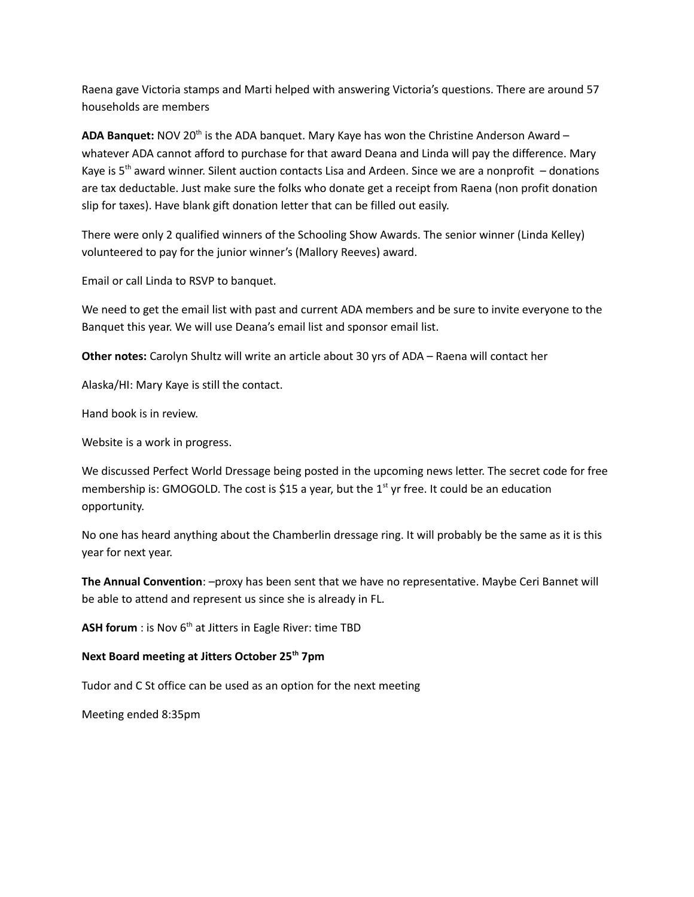Raena gave Victoria stamps and Marti helped with answering Victoria's questions. There are around 57 households are members

ADA Banquet: NOV 20<sup>th</sup> is the ADA banquet. Mary Kaye has won the Christine Anderson Award whatever ADA cannot afford to purchase for that award Deana and Linda will pay the difference. Mary Kaye is  $5<sup>th</sup>$  award winner. Silent auction contacts Lisa and Ardeen. Since we are a nonprofit  $-$  donations are tax deductable. Just make sure the folks who donate get a receipt from Raena (non profit donation slip for taxes). Have blank gift donation letter that can be filled out easily.

There were only 2 qualified winners of the Schooling Show Awards. The senior winner (Linda Kelley) volunteered to pay for the junior winner's (Mallory Reeves) award.

Email or call Linda to RSVP to banquet.

We need to get the email list with past and current ADA members and be sure to invite everyone to the Banquet this year. We will use Deana's email list and sponsor email list.

**Other notes:** Carolyn Shultz will write an article about 30 yrs of ADA – Raena will contact her

Alaska/HI: Mary Kaye is still the contact.

Hand book is in review.

Website is a work in progress.

We discussed Perfect World Dressage being posted in the upcoming news letter. The secret code for free membership is: GMOGOLD. The cost is \$15 a year, but the 1<sup>st</sup> yr free. It could be an education opportunity.

No one has heard anything about the Chamberlin dressage ring. It will probably be the same as it is this year for next year.

**The Annual Convention**: –proxy has been sent that we have no representative. Maybe Ceri Bannet will be able to attend and represent us since she is already in FL.

**ASH forum**: is Nov 6<sup>th</sup> at Jitters in Eagle River: time TBD

#### **Next Board meeting at Jitters October 25th 7pm**

Tudor and C St office can be used as an option for the next meeting

Meeting ended 8:35pm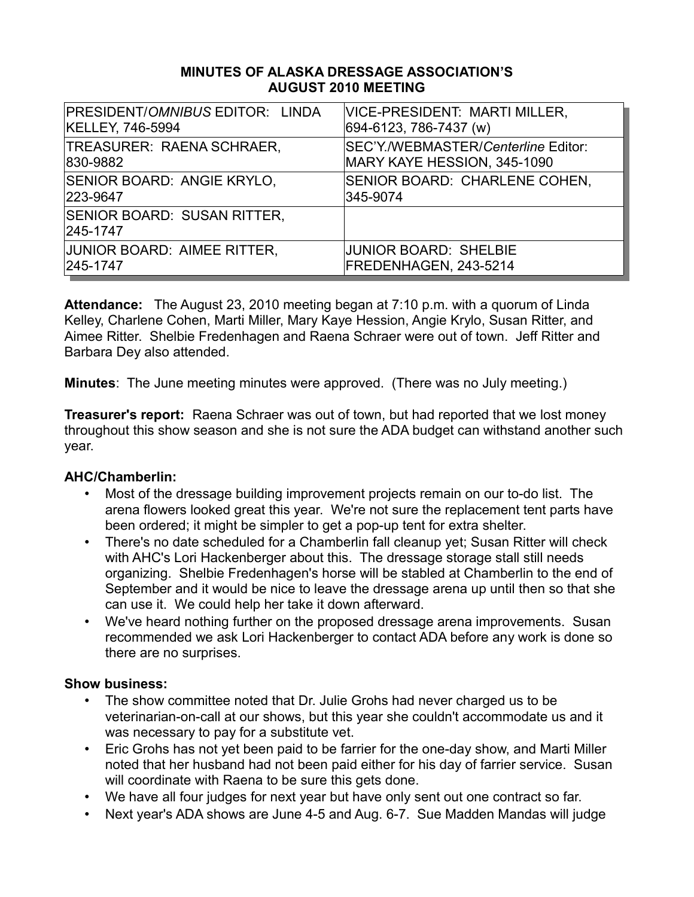#### **MINUTES OF ALASKA DRESSAGE ASSOCIATION'S AUGUST 2010 MEETING**

| PRESIDENT/OMNIBUS EDITOR: LINDA         | VICE-PRESIDENT: MARTI MILLER,       |
|-----------------------------------------|-------------------------------------|
| <b>KELLEY, 746-5994</b>                 | 694-6123, 786-7437 (w)              |
| TREASURER: RAENA SCHRAER,               | SEC'Y./WEBMASTER/Centerline Editor: |
| 830-9882                                | MARY KAYE HESSION, 345-1090         |
| SENIOR BOARD: ANGIE KRYLO,              | SENIOR BOARD: CHARLENE COHEN,       |
| 223-9647                                | 345-9074                            |
| SENIOR BOARD: SUSAN RITTER,<br>245-1747 |                                     |
| JUNIOR BOARD: AIMEE RITTER,             | <b>JUNIOR BOARD: SHELBIE</b>        |
| 245-1747                                | FREDENHAGEN, 243-5214               |

**Attendance:** The August 23, 2010 meeting began at 7:10 p.m. with a quorum of Linda Kelley, Charlene Cohen, Marti Miller, Mary Kaye Hession, Angie Krylo, Susan Ritter, and Aimee Ritter. Shelbie Fredenhagen and Raena Schraer were out of town. Jeff Ritter and Barbara Dey also attended.

**Minutes**: The June meeting minutes were approved. (There was no July meeting.)

**Treasurer's report:** Raena Schraer was out of town, but had reported that we lost money throughout this show season and she is not sure the ADA budget can withstand another such year.

# **AHC/Chamberlin:**

- Most of the dressage building improvement projects remain on our to-do list. The arena flowers looked great this year. We're not sure the replacement tent parts have been ordered; it might be simpler to get a pop-up tent for extra shelter.
- There's no date scheduled for a Chamberlin fall cleanup yet; Susan Ritter will check with AHC's Lori Hackenberger about this. The dressage storage stall still needs organizing. Shelbie Fredenhagen's horse will be stabled at Chamberlin to the end of September and it would be nice to leave the dressage arena up until then so that she can use it. We could help her take it down afterward.
- We've heard nothing further on the proposed dressage arena improvements. Susan recommended we ask Lori Hackenberger to contact ADA before any work is done so there are no surprises.

- The show committee noted that Dr. Julie Grohs had never charged us to be veterinarian-on-call at our shows, but this year she couldn't accommodate us and it was necessary to pay for a substitute vet.
- Eric Grohs has not yet been paid to be farrier for the one-day show, and Marti Miller noted that her husband had not been paid either for his day of farrier service. Susan will coordinate with Raena to be sure this gets done.
- We have all four judges for next year but have only sent out one contract so far.
- Next year's ADA shows are June 4-5 and Aug. 6-7. Sue Madden Mandas will judge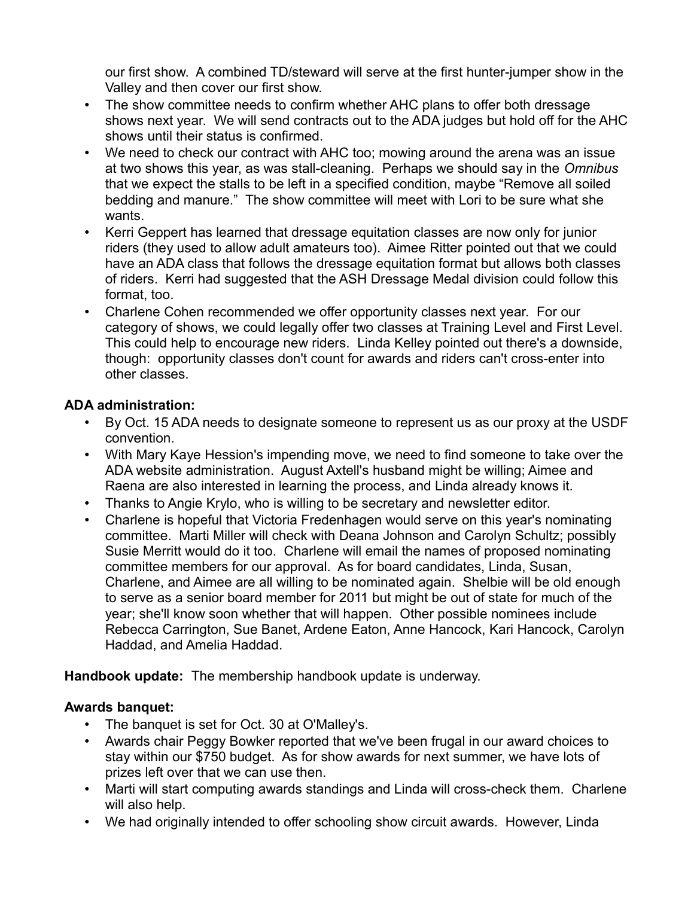our first show. A combined TD/steward will serve at the first hunter-jumper show in the Valley and then cover our first show.

- The show committee needs to confirm whether AHC plans to offer both dressage shows next year. We will send contracts out to the ADA judges but hold off for the AHC shows until their status is confirmed.
- We need to check our contract with AHC too; mowing around the arena was an issue at two shows this year, as was stall-cleaning. Perhaps we should say in the *Omnibus* that we expect the stalls to be left in a specified condition, maybe "Remove all soiled bedding and manure." The show committee will meet with Lori to be sure what she wants.
- Kerri Geppert has learned that dressage equitation classes are now only for junior riders (they used to allow adult amateurs too). Aimee Ritter pointed out that we could have an ADA class that follows the dressage equitation format but allows both classes of riders. Kerri had suggested that the ASH Dressage Medal division could follow this format, too.
- Charlene Cohen recommended we offer opportunity classes next year. For our category of shows, we could legally offer two classes at Training Level and First Level. This could help to encourage new riders. Linda Kelley pointed out there's a downside, though: opportunity classes don't count for awards and riders can't cross-enter into other classes.

# **ADA administration:**

- By Oct. 15 ADA needs to designate someone to represent us as our proxy at the USDF convention.
- With Mary Kaye Hession's impending move, we need to find someone to take over the ADA website administration. August Axtell's husband might be willing; Aimee and Raena are also interested in learning the process, and Linda already knows it.
- Thanks to Angie Krylo, who is willing to be secretary and newsletter editor.
- Charlene is hopeful that Victoria Fredenhagen would serve on this year's nominating committee. Marti Miller will check with Deana Johnson and Carolyn Schultz; possibly Susie Merritt would do it too. Charlene will email the names of proposed nominating committee members for our approval. As for board candidates, Linda, Susan, Charlene, and Aimee are all willing to be nominated again. Shelbie will be old enough to serve as a senior board member for 2011 but might be out of state for much of the year; she'll know soon whether that will happen. Other possible nominees include Rebecca Carrington, Sue Banet, Ardene Eaton, Anne Hancock, Kari Hancock, Carolyn Haddad, and Amelia Haddad.

**Handbook update:** The membership handbook update is underway.

# **Awards banquet:**

- The banquet is set for Oct. 30 at O'Malley's.
- Awards chair Peggy Bowker reported that we've been frugal in our award choices to stay within our \$750 budget. As for show awards for next summer, we have lots of prizes left over that we can use then.
- Marti will start computing awards standings and Linda will cross-check them. Charlene will also help.
- We had originally intended to offer schooling show circuit awards. However, Linda